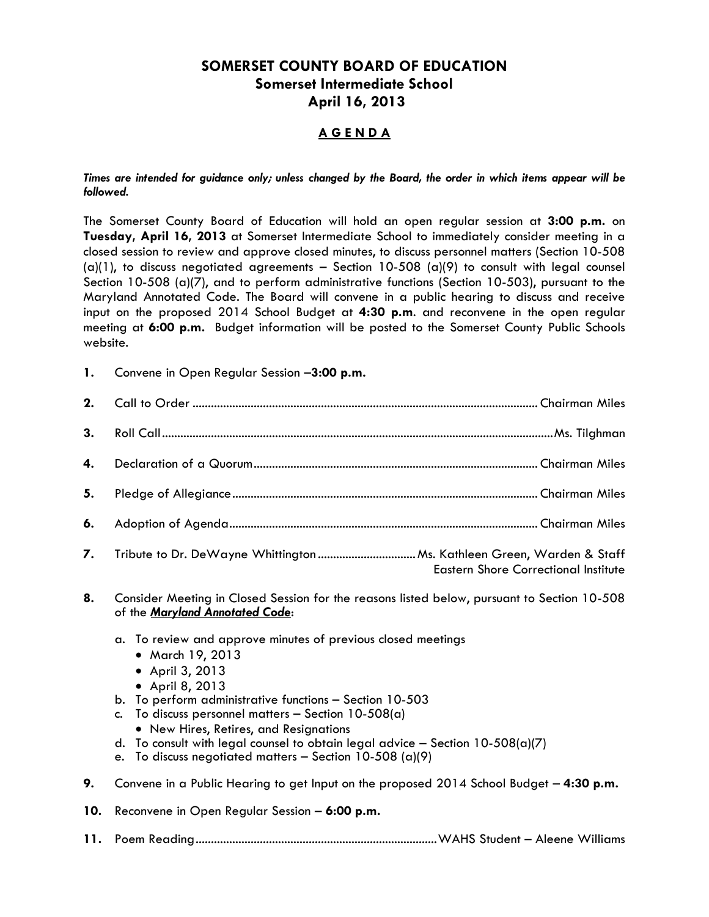## **SOMERSET COUNTY BOARD OF EDUCATION Somerset Intermediate School April 16, 2013**

## **A G E N D A**

## *Times are intended for guidance only; unless changed by the Board, the order in which items appear will be followed.*

The Somerset County Board of Education will hold an open regular session at **3:00 p.m.** on **Tuesday, April 16, 2013** at Somerset Intermediate School to immediately consider meeting in a closed session to review and approve closed minutes, to discuss personnel matters (Section 10-508 (a)(1), to discuss negotiated agreements - Section 10-508 (a)(9) to consult with legal counsel Section 10-508 (a)(7), and to perform administrative functions (Section 10-503), pursuant to the Maryland Annotated Code. The Board will convene in a public hearing to discuss and receive input on the proposed 2014 School Budget at **4:30 p.m**. and reconvene in the open regular meeting at **6:00 p.m.** Budget information will be posted to the Somerset County Public Schools website.

**1.** Convene in Open Regular Session –**3:00 p.m.**

| 4. |                                             |
|----|---------------------------------------------|
| 5. |                                             |
| 6. |                                             |
|    | <b>Eastern Shore Correctional Institute</b> |

- **8.** Consider Meeting in Closed Session for the reasons listed below, pursuant to Section 10-508 of the *Maryland Annotated Code*:
	- a. To review and approve minutes of previous closed meetings
		- March 19, 2013
		- April 3, 2013
		- April 8, 2013
	- b. To perform administrative functions Section 10-503
	- c. To discuss personnel matters  $-$  Section 10-508(a)
		- New Hires, Retires, and Resignations
	- d. To consult with legal counsel to obtain legal advice Section 10-508(a)(7)
	- e. To discuss negotiated matters Section 10-508 (a)(9)
- **9.** Convene in a Public Hearing to get Input on the proposed 2014 School Budget **4:30 p.m.**
- **10.** Reconvene in Open Regular Session **6:00 p.m.**
- **11.** Poem Reading...............................................................................WAHS Student Aleene Williams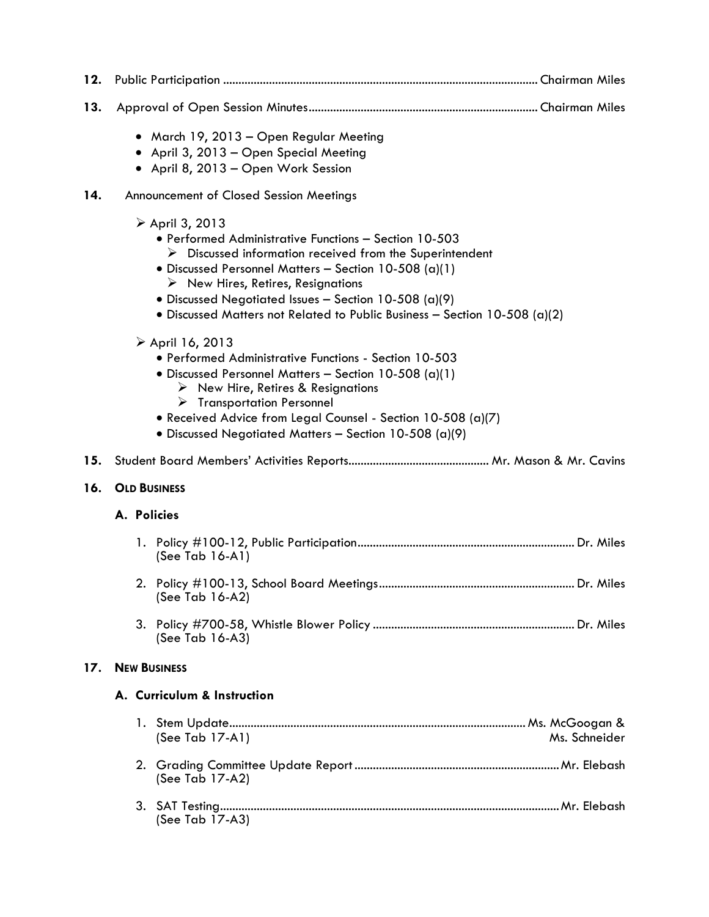| 12. |                             |  |                                                                                                                                                                                                                                                                                                                                                                                                          |               |
|-----|-----------------------------|--|----------------------------------------------------------------------------------------------------------------------------------------------------------------------------------------------------------------------------------------------------------------------------------------------------------------------------------------------------------------------------------------------------------|---------------|
| 13. |                             |  |                                                                                                                                                                                                                                                                                                                                                                                                          |               |
|     |                             |  | · March 19, 2013 - Open Regular Meeting<br>• April 3, 2013 - Open Special Meeting<br>• April 8, 2013 - Open Work Session                                                                                                                                                                                                                                                                                 |               |
| 14. |                             |  | Announcement of Closed Session Meetings                                                                                                                                                                                                                                                                                                                                                                  |               |
|     |                             |  | ▶ April 3, 2013<br>• Performed Administrative Functions - Section 10-503<br>$\triangleright$ Discussed information received from the Superintendent<br>· Discussed Personnel Matters - Section 10-508 (a)(1)<br>$\triangleright$ New Hires, Retires, Resignations<br>• Discussed Negotiated Issues - Section 10-508 (a)(9)<br>• Discussed Matters not Related to Public Business - Section 10-508 (a)(2) |               |
|     |                             |  | $\triangleright$ April 16, 2013<br>• Performed Administrative Functions - Section 10-503<br>• Discussed Personnel Matters - Section 10-508 (a)(1)<br>$\triangleright$ New Hire, Retires & Resignations<br>$\triangleright$ Transportation Personnel<br>• Received Advice from Legal Counsel - Section 10-508 (a)(7)<br>• Discussed Negotiated Matters - Section 10-508 (a)(9)                            |               |
| 15. |                             |  |                                                                                                                                                                                                                                                                                                                                                                                                          |               |
| 16. | <b>OLD BUSINESS</b>         |  |                                                                                                                                                                                                                                                                                                                                                                                                          |               |
|     | A. Policies                 |  |                                                                                                                                                                                                                                                                                                                                                                                                          |               |
|     |                             |  | (See Tab $16-A1$ )                                                                                                                                                                                                                                                                                                                                                                                       |               |
|     |                             |  | (See Tab 16-A2)                                                                                                                                                                                                                                                                                                                                                                                          |               |
|     |                             |  | (See Tab 16-A3)                                                                                                                                                                                                                                                                                                                                                                                          |               |
| 17. |                             |  | <b>NEW BUSINESS</b>                                                                                                                                                                                                                                                                                                                                                                                      |               |
|     | A. Curriculum & Instruction |  |                                                                                                                                                                                                                                                                                                                                                                                                          |               |
|     |                             |  | (See Tab 17-A1)                                                                                                                                                                                                                                                                                                                                                                                          | Ms. Schneider |
|     |                             |  | (See Tab 17-A2)                                                                                                                                                                                                                                                                                                                                                                                          |               |
|     |                             |  | (See Tab 17-A3)                                                                                                                                                                                                                                                                                                                                                                                          |               |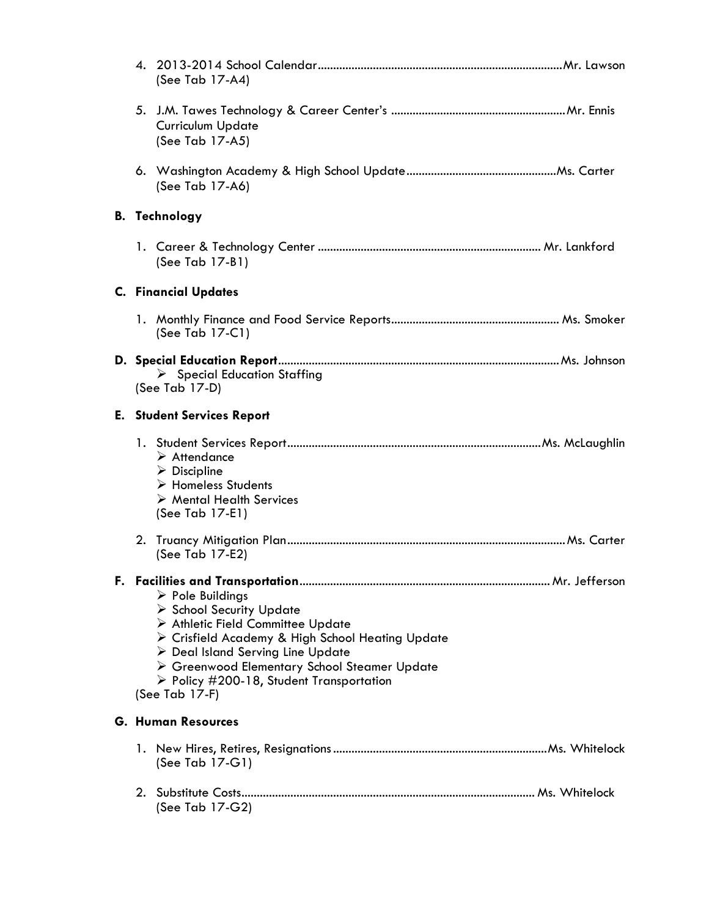| (See Tab 17-A4)                                                                                                                                                                                                                                                                                                                        |
|----------------------------------------------------------------------------------------------------------------------------------------------------------------------------------------------------------------------------------------------------------------------------------------------------------------------------------------|
| <b>Curriculum Update</b><br>(See Tab 17-A5)                                                                                                                                                                                                                                                                                            |
| (See Tab 17-A6)                                                                                                                                                                                                                                                                                                                        |
| <b>B.</b> Technology                                                                                                                                                                                                                                                                                                                   |
| (See Tab 17-B1)                                                                                                                                                                                                                                                                                                                        |
| <b>C. Financial Updates</b>                                                                                                                                                                                                                                                                                                            |
| (See Tab 17-C1)                                                                                                                                                                                                                                                                                                                        |
| $\triangleright$ Special Education Staffing<br>(See Tab 17-D)                                                                                                                                                                                                                                                                          |
| <b>E.</b> Student Services Report                                                                                                                                                                                                                                                                                                      |
| $\triangleright$ Attendance<br>$\triangleright$ Discipline<br>> Homeless Students<br>$\triangleright$ Mental Health Services<br>(See Tab 17-E1)                                                                                                                                                                                        |
| (See Tab 17-E2)                                                                                                                                                                                                                                                                                                                        |
| $\triangleright$ Pole Buildings<br>School Security Update<br>> Athletic Field Committee Update<br>> Crisfield Academy & High School Heating Update<br>$\triangleright$ Deal Island Serving Line Update<br>> Greenwood Elementary School Steamer Update<br>$\triangleright$ Policy #200-18, Student Transportation<br>(See Tab $17-F$ ) |
| <b>G. Human Resources</b>                                                                                                                                                                                                                                                                                                              |
| (See Tab 17-G1)                                                                                                                                                                                                                                                                                                                        |
| (See Tab 17-G2)                                                                                                                                                                                                                                                                                                                        |